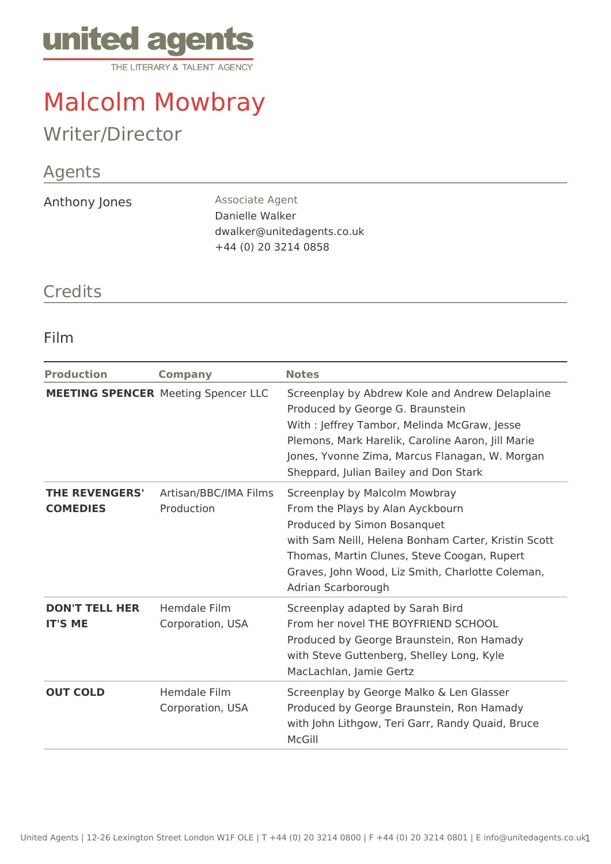

# Malcolm Mowbray

# Writer/Director

## Agents

Anthony Jones **Associate Agent** 

Danielle Walker dwalker@unitedagents.co.uk +44 (0) 20 3214 0858

#### **Credits**

#### Film

| <b>Production</b>                        | <b>Company</b>                             | <b>Notes</b>                                                                                                                                                                                                                                                                       |
|------------------------------------------|--------------------------------------------|------------------------------------------------------------------------------------------------------------------------------------------------------------------------------------------------------------------------------------------------------------------------------------|
|                                          | <b>MEETING SPENCER Meeting Spencer LLC</b> | Screenplay by Abdrew Kole and Andrew Delaplaine<br>Produced by George G. Braunstein<br>With: Jeffrey Tambor, Melinda McGraw, Jesse<br>Plemons, Mark Harelik, Caroline Aaron, Jill Marie<br>Jones, Yvonne Zima, Marcus Flanagan, W. Morgan<br>Sheppard, Julian Bailey and Don Stark |
| <b>THE REVENGERS'</b><br><b>COMEDIES</b> | Artisan/BBC/IMA Films<br>Production        | Screenplay by Malcolm Mowbray<br>From the Plays by Alan Ayckbourn<br>Produced by Simon Bosanquet<br>with Sam Neill, Helena Bonham Carter, Kristin Scott<br>Thomas, Martin Clunes, Steve Coogan, Rupert<br>Graves, John Wood, Liz Smith, Charlotte Coleman,<br>Adrian Scarborough   |
| <b>DON'T TELL HER</b><br><b>IT'S ME</b>  | Hemdale Film<br>Corporation, USA           | Screenplay adapted by Sarah Bird<br>From her novel THE BOYFRIEND SCHOOL<br>Produced by George Braunstein, Ron Hamady<br>with Steve Guttenberg, Shelley Long, Kyle<br>MacLachlan, Jamie Gertz                                                                                       |
| <b>OUT COLD</b>                          | Hemdale Film<br>Corporation, USA           | Screenplay by George Malko & Len Glasser<br>Produced by George Braunstein, Ron Hamady<br>with John Lithgow, Teri Garr, Randy Quaid, Bruce<br>McGill                                                                                                                                |